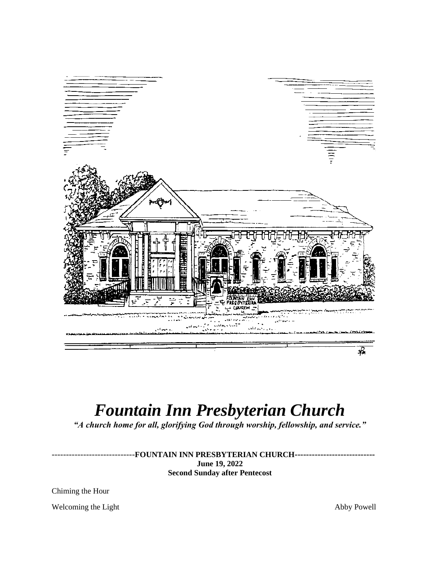

# *Fountain Inn Presbyterian Church*

*"A church home for all, glorifying God through worship, fellowship, and service."*

*-----------------------------***FOUNTAIN INN PRESBYTERIAN CHURCH---------------------------- June 19, 2022 Second Sunday after Pentecost**

Chiming the Hour

Welcoming the Light Abby Powell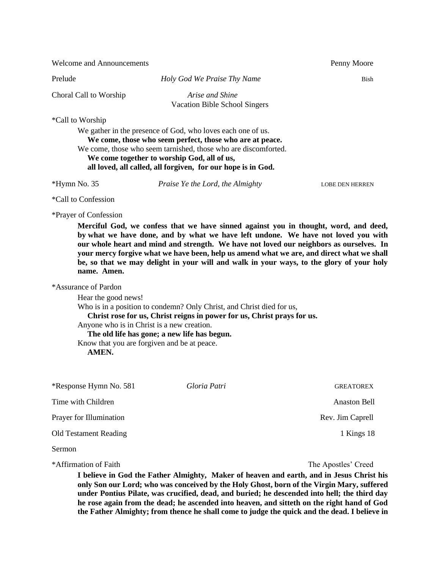Welcome and Announcements **Penny Moore** 

Prelude *Holy God We Praise Thy Name* Bish

Choral Call to Worship *Arise and Shine*

Vacation Bible School Singers

### \*Call to Worship

We gather in the presence of God, who loves each one of us. **We come, those who seem perfect, those who are at peace.** We come, those who seem tarnished, those who are discomforted. **We come together to worship God, all of us, all loved, all called, all forgiven, for our hope is in God.**

\*Hymn No. 35 *Praise Ye the Lord, the Almighty* LOBE DEN HERREN

\*Call to Confession

\*Prayer of Confession

**Merciful God, we confess that we have sinned against you in thought, word, and deed, by what we have done, and by what we have left undone. We have not loved you with our whole heart and mind and strength. We have not loved our neighbors as ourselves. In your mercy forgive what we have been, help us amend what we are, and direct what we shall be, so that we may delight in your will and walk in your ways, to the glory of your holy name. Amen.**

#### \*Assurance of Pardon

Hear the good news! Who is in a position to condemn? Only Christ, and Christ died for us, **Christ rose for us, Christ reigns in power for us, Christ prays for us.** Anyone who is in Christ is a new creation.  **The old life has gone; a new life has begun.** Know that you are forgiven and be at peace.  **AMEN.**

\*Response Hymn No. 581 *Gloria Patri* GREATOREX Time with Children and Anaston Bell and Anaston Bell and Anaston Bell and Anaston Bell and Anaston Bell and Anaston Bell and Anaston Bell and Anaston Bell and Anaston Bell and Anaston Bell and Anaston Bell and Anaston Bell Prayer for Illumination **Rev.** Jim Caprell Old Testament Reading 18 Sermon

\*Affirmation of Faith The Apostles' Creed

**I believe in God the Father Almighty, Maker of heaven and earth, and in Jesus Christ his only Son our Lord; who was conceived by the Holy Ghost, born of the Virgin Mary, suffered under Pontius Pilate, was crucified, dead, and buried; he descended into hell; the third day he rose again from the dead; he ascended into heaven, and sitteth on the right hand of God the Father Almighty; from thence he shall come to judge the quick and the dead. I believe in**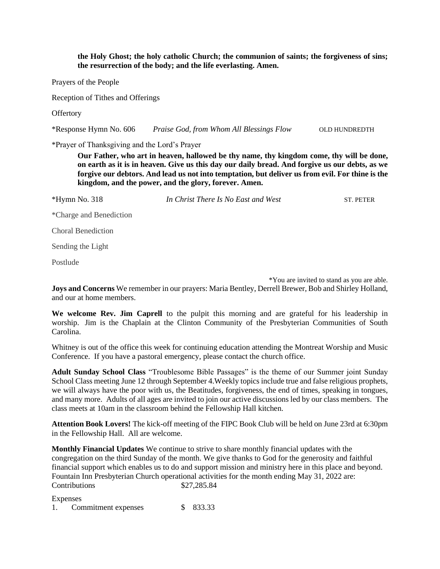**the Holy Ghost; the holy catholic Church; the communion of saints; the forgiveness of sins; the resurrection of the body; and the life everlasting. Amen.**

Prayers of the People

Reception of Tithes and Offerings

**Offertory** 

\*Response Hymn No. 606 *Praise God, from Whom All Blessings Flow* OLD HUNDREDTH

\*Prayer of Thanksgiving and the Lord's Prayer

**Our Father, who art in heaven, hallowed be thy name, thy kingdom come, thy will be done, on earth as it is in heaven. Give us this day our daily bread. And forgive us our debts, as we forgive our debtors. And lead us not into temptation, but deliver us from evil. For thine is the kingdom, and the power, and the glory, forever. Amen.**

\*Hymn No. 318 *In Christ There Is No East and West* ST. PETER

\*Charge and Benediction

Choral Benediction

Sending the Light

Postlude

\*You are invited to stand as you are able.

**Joys and Concerns** We remember in our prayers: Maria Bentley, Derrell Brewer, Bob and Shirley Holland, and our at home members.

**We welcome Rev. Jim Caprell** to the pulpit this morning and are grateful for his leadership in worship. Jim is the Chaplain at the Clinton Community of the Presbyterian Communities of South Carolina.

Whitney is out of the office this week for continuing education attending the Montreat Worship and Music Conference. If you have a pastoral emergency, please contact the church office.

**Adult Sunday School Class** "Troublesome Bible Passages" is the theme of our Summer joint Sunday School Class meeting June 12 through September 4.Weekly topics include true and false religious prophets, we will always have the poor with us, the Beatitudes, forgiveness, the end of times, speaking in tongues, and many more. Adults of all ages are invited to join our active discussions led by our class members. The class meets at 10am in the classroom behind the Fellowship Hall kitchen.

**Attention Book Lovers!** The kick-off meeting of the FIPC Book Club will be held on June 23rd at 6:30pm in the Fellowship Hall. All are welcome.

**Monthly Financial Updates** We continue to strive to share monthly financial updates with the congregation on the third Sunday of the month. We give thanks to God for the generosity and faithful financial support which enables us to do and support mission and ministry here in this place and beyond. Fountain Inn Presbyterian Church operational activities for the month ending May 31, 2022 are: Contributions \$27,285.84

Expenses

1. Commitment expenses \$ 833.33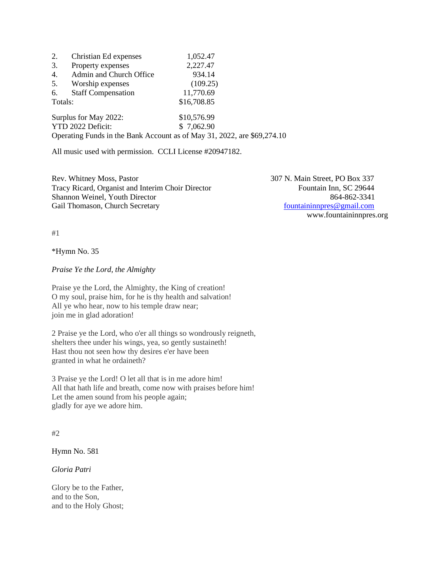| 2.                    | Christian Ed expenses     | 1,052.47                                                                |  |
|-----------------------|---------------------------|-------------------------------------------------------------------------|--|
| 3.                    | Property expenses         | 2,227.47                                                                |  |
| 4.                    | Admin and Church Office   | 934.14                                                                  |  |
| 5.                    | Worship expenses          | (109.25)                                                                |  |
| 6.                    | <b>Staff Compensation</b> | 11,770.69                                                               |  |
| Totals:               |                           | \$16,708.85                                                             |  |
| Surplus for May 2022: |                           | \$10,576.99                                                             |  |
| YTD 2022 Deficit:     |                           | \$7,062.90                                                              |  |
|                       |                           | Operating Funds in the Bank Account as of May 31, 2022, are \$69,274,10 |  |

All music used with permission. CCLI License #20947182.

Rev. Whitney Moss, Pastor 307 N. Main Street, PO Box 337 Tracy Ricard, Organist and Interim Choir Director Fountain Inn, SC 29644 Shannon Weinel, Youth Director 864-862-3341 Gail Thomason, Church Secretary fountaininnpres @gmail.com

www.fountaininnpres.org

#1

\*Hymn No. 35

*Praise Ye the Lord, the Almighty*

Praise ye the Lord, the Almighty, the King of creation! O my soul, praise him, for he is thy health and salvation! All ye who hear, now to his temple draw near; join me in glad adoration!

2 Praise ye the Lord, who o'er all things so wondrously reigneth, shelters thee under his wings, yea, so gently sustaineth! Hast thou not seen how thy desires e'er have been granted in what he ordaineth?

3 Praise ye the Lord! O let all that is in me adore him! All that hath life and breath, come now with praises before him! Let the amen sound from his people again; gladly for aye we adore him.

#### #2

Hymn No. 581

*Gloria Patri*

Glory be to the Father, and to the Son, and to the Holy Ghost;